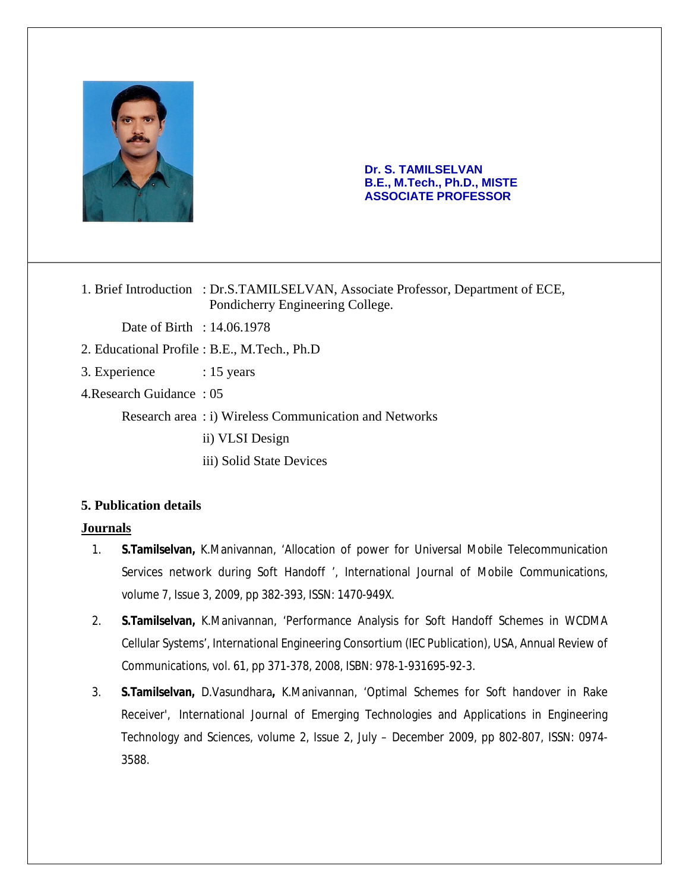

#### **Dr. S. TAMILSELVAN B.E., M.Tech., Ph.D., MISTE ASSOCIATE PROFESSOR**

1. Brief Introduction : Dr.S.TAMILSELVAN, Associate Professor, Department of ECE, Pondicherry Engineering College.

Date of Birth : 14.06.1978

- 2. Educational Profile : B.E., M.Tech., Ph.D
- 3. Experience : 15 years
- 4.Research Guidance : 05

Research area : i) Wireless Communication and Networks

ii) VLSI Design

iii) Solid State Devices

### **5. Publication details**

#### **Journals**

- 1. **S.Tamilselvan,** K.Manivannan, 'Allocation of power for Universal Mobile Telecommunication Services network during Soft Handoff ', International Journal of Mobile Communications, volume 7, Issue 3, 2009, pp 382-393, ISSN: 1470-949X.
- 2. **S.Tamilselvan,** K.Manivannan, 'Performance Analysis for Soft Handoff Schemes in WCDMA Cellular Systems', International Engineering Consortium (IEC Publication), USA, Annual Review of Communications, vol. 61, pp 371-378, 2008, ISBN: 978-1-931695-92-3.
- 3. **S.Tamilselvan,** D.Vasundhara**,** K.Manivannan, 'Optimal Schemes for Soft handover in Rake Receiver', International Journal of Emerging Technologies and Applications in Engineering Technology and Sciences, volume 2, Issue 2, July – December 2009, pp 802-807, ISSN: 0974- 3588.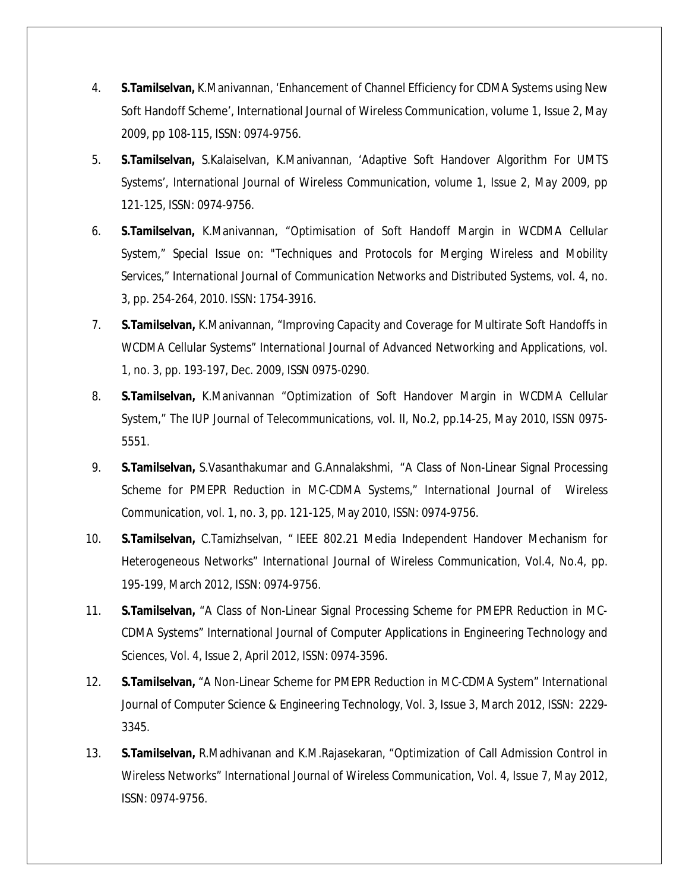- 4. **S.Tamilselvan,** K.Manivannan, 'Enhancement of Channel Efficiency for CDMA Systems using New Soft Handoff Scheme', International Journal of Wireless Communication, volume 1, Issue 2, May 2009, pp 108-115, ISSN: 0974-9756.
- 5. **S.Tamilselvan,** S.Kalaiselvan, K.Manivannan, 'Adaptive Soft Handover Algorithm For UMTS Systems', International Journal of Wireless Communication, volume 1, Issue 2, May 2009, pp 121-125, ISSN: 0974-9756.
- 6. **S.Tamilselvan,** K.Manivannan, "Optimisation of Soft Handoff Margin in WCDMA Cellular System," *Special Issue on: "Techniques and Protocols for Merging Wireless and Mobility Services*," *International Journal of Communication Networks and Distributed Systems,* vol. 4, no. 3, pp. 254-264, 2010. ISSN: 1754-3916.
- 7. **S.Tamilselvan,** K.Manivannan, "Improving Capacity and Coverage for Multirate Soft Handoffs in WCDMA Cellular Systems" *International Journal of Advanced Networking and Applications,* vol. 1, no. 3, pp. 193-197, Dec. 2009, ISSN 0975-0290.
- 8. **S.Tamilselvan,** K.Manivannan "Optimization of Soft Handover Margin in WCDMA Cellular System," *The IUP Journal of Telecommunications*, vol. II, No.2, pp.14-25, May 2010, ISSN 0975- 5551.
- 9. **S.Tamilselvan,** S.Vasanthakumar and G.Annalakshmi, "A Class of Non-Linear Signal Processing Scheme for PMEPR Reduction in MC-CDMA Systems," *International Journal of Wireless Communication*, vol. 1, no. 3, pp. 121-125, May 2010, ISSN: 0974-9756.
- 10. **S.Tamilselvan,** C.Tamizhselvan, " IEEE 802.21 Media Independent Handover Mechanism for Heterogeneous Networks" *International Journal of Wireless Communication*, Vol.4, No.4, pp. 195-199, March 2012, ISSN: 0974-9756.
- 11. **S.Tamilselvan,** "A Class of Non-Linear Signal Processing Scheme for PMEPR Reduction in MC-CDMA Systems" International Journal of Computer Applications in Engineering Technology and Sciences, Vol. 4, Issue 2, April 2012, ISSN: 0974-3596.
- 12. **S.Tamilselvan,** "A Non-Linear Scheme for PMEPR Reduction in MC-CDMA System" International Journal of Computer Science & Engineering Technology, Vol. 3, Issue 3, March 2012, ISSN: 2229- 3345.
- 13. **S.Tamilselvan,** R.Madhivanan and K.M.Rajasekaran, "Optimization of Call Admission Control in Wireless Networks" *International Journal of Wireless Communication*, Vol. 4, Issue 7, May 2012, ISSN: 0974-9756.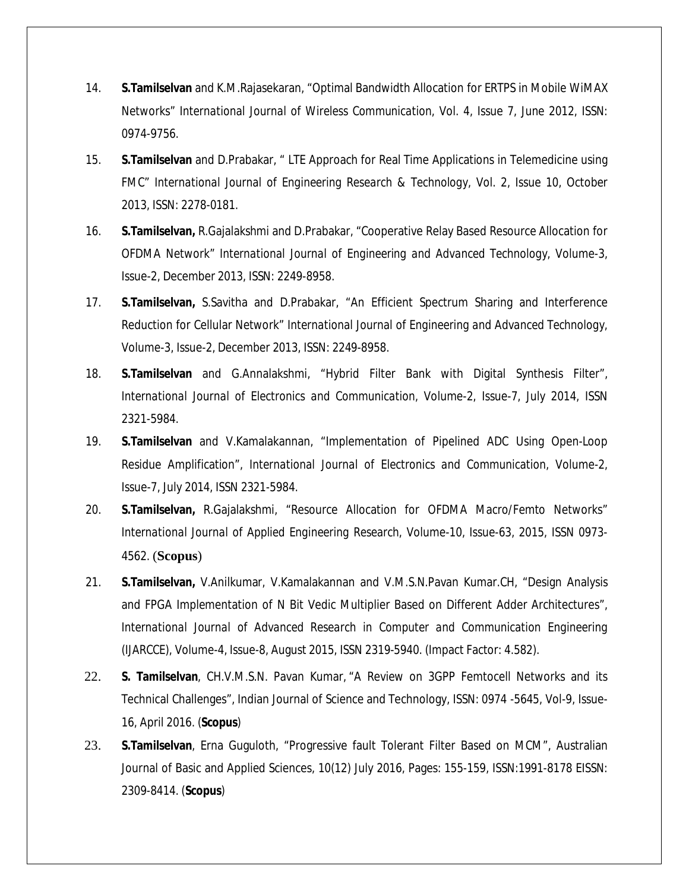- 14. **S.Tamilselvan** and K.M.Rajasekaran, "Optimal Bandwidth Allocation for ERTPS in Mobile WiMAX Networks" *International Journal of Wireless Communication*, Vol. 4, Issue 7, June 2012, ISSN: 0974-9756.
- 15. **S.Tamilselvan** and D.Prabakar, " LTE Approach for Real Time Applications in Telemedicine using FMC" *International Journal of Engineering Research & Technology*, Vol. 2, Issue 10, October 2013, ISSN: 2278-0181.
- 16. **S.Tamilselvan,** R.Gajalakshmi and D.Prabakar, "Cooperative Relay Based Resource Allocation for OFDMA Network" *International Journal of Engineering and Advanced Technology*, Volume-3, Issue-2, December 2013, ISSN: 2249-8958.
- 17. **S.Tamilselvan,** S.Savitha and D.Prabakar, "An Efficient Spectrum Sharing and Interference Reduction for Cellular Network" *International Journal of Engineering and Advanced Technology*, Volume-3, Issue-2, December 2013, ISSN: 2249-8958.
- 18. **S.Tamilselvan** and G.Annalakshmi, "Hybrid Filter Bank with Digital Synthesis Filter", *International Journal of Electronics and Communication,* Volume-2, Issue-7, July 2014, ISSN 2321-5984.
- 19. **S.Tamilselvan** and V.Kamalakannan, "Implementation of Pipelined ADC Using Open-Loop Residue Amplification", *International Journal of Electronics and Communication,* Volume-2, Issue-7, July 2014, ISSN 2321-5984.
- 20. **S.Tamilselvan,** R.Gajalakshmi, "Resource Allocation for OFDMA Macro/Femto Networks" *International Journal of Applied Engineering Research*, Volume-10, Issue-63, 2015, ISSN 0973- 4562. (**Scopus**)
- 21. **S.Tamilselvan,** V.Anilkumar, V.Kamalakannan and V.M.S.N.Pavan Kumar.CH, "Design Analysis and FPGA Implementation of N Bit Vedic Multiplier Based on Different Adder Architectures", International Journal of Advanced Research in Computer and Communication Engineering *(IJARCCE),* Volume-4, Issue-8, August 2015, ISSN 2319-5940. (Impact Factor: 4.582).
- 22. **S. Tamilselvan**, CH.V.M.S.N. Pavan Kumar, "A Review on 3GPP Femtocell Networks and its Technical Challenges", Indian Journal of Science and Technology, ISSN: 0974 -5645, Vol-9, Issue-16, April 2016. (**Scopus**)
- 23. **S.Tamilselvan**, Erna Guguloth, "Progressive fault Tolerant Filter Based on MCM", Australian Journal of Basic and Applied Sciences, 10(12) July 2016, Pages: 155-159, ISSN:1991-8178 EISSN: 2309-8414. (**Scopus**)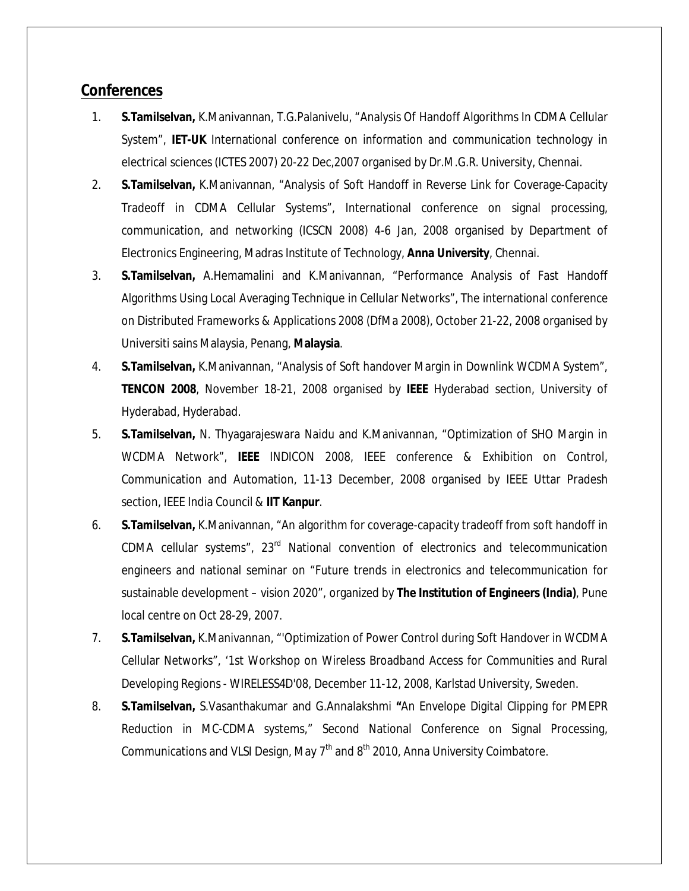# **Conferences**

- 1. **S.Tamilselvan,** K.Manivannan, T.G.Palanivelu, "Analysis Of Handoff Algorithms In CDMA Cellular System", **IET-UK** International conference on information and communication technology in electrical sciences (ICTES 2007) 20-22 Dec,2007 organised by Dr.M.G.R. University, Chennai.
- 2. **S.Tamilselvan,** K.Manivannan, "Analysis of Soft Handoff in Reverse Link for Coverage-Capacity Tradeoff in CDMA Cellular Systems", International conference on signal processing, communication, and networking (ICSCN 2008) 4-6 Jan, 2008 organised by Department of Electronics Engineering, Madras Institute of Technology, **Anna University**, Chennai.
- 3. **S.Tamilselvan,** A.Hemamalini and K.Manivannan, "Performance Analysis of Fast Handoff Algorithms Using Local Averaging Technique in Cellular Networks", The international conference on Distributed Frameworks & Applications 2008 (DfMa 2008), October 21-22, 2008 organised by Universiti sains Malaysia, Penang, **Malaysia**.
- 4. **S.Tamilselvan,** K.Manivannan, "Analysis of Soft handover Margin in Downlink WCDMA System", **TENCON 2008**, November 18-21, 2008 organised by **IEEE** Hyderabad section, University of Hyderabad, Hyderabad.
- 5. **S.Tamilselvan,** N. Thyagarajeswara Naidu and K.Manivannan, "Optimization of SHO Margin in WCDMA Network", **IEEE** INDICON 2008, IEEE conference & Exhibition on Control, Communication and Automation, 11-13 December, 2008 organised by IEEE Uttar Pradesh section, IEEE India Council & **IIT Kanpur**.
- 6. **S.Tamilselvan,** K.Manivannan, "An algorithm for coverage-capacity tradeoff from soft handoff in CDMA cellular systems",  $23<sup>rd</sup>$  National convention of electronics and telecommunication engineers and national seminar on "Future trends in electronics and telecommunication for sustainable development – vision 2020", organized by **The Institution of Engineers (India)**, Pune local centre on Oct 28-29, 2007.
- 7. **S.Tamilselvan,** K.Manivannan, "'Optimization of Power Control during Soft Handover in WCDMA Cellular Networks", '1st Workshop on Wireless Broadband Access for Communities and Rural Developing Regions - WIRELESS4D'08, December 11-12, 2008, Karlstad University, Sweden.
- 8. **S.Tamilselvan,** S.Vasanthakumar and G.Annalakshmi **"**An Envelope Digital Clipping for PMEPR Reduction in MC-CDMA systems," Second National Conference on Signal Processing, Communications and VLSI Design, May  $7<sup>th</sup>$  and  $8<sup>th</sup>$  2010, Anna University Coimbatore.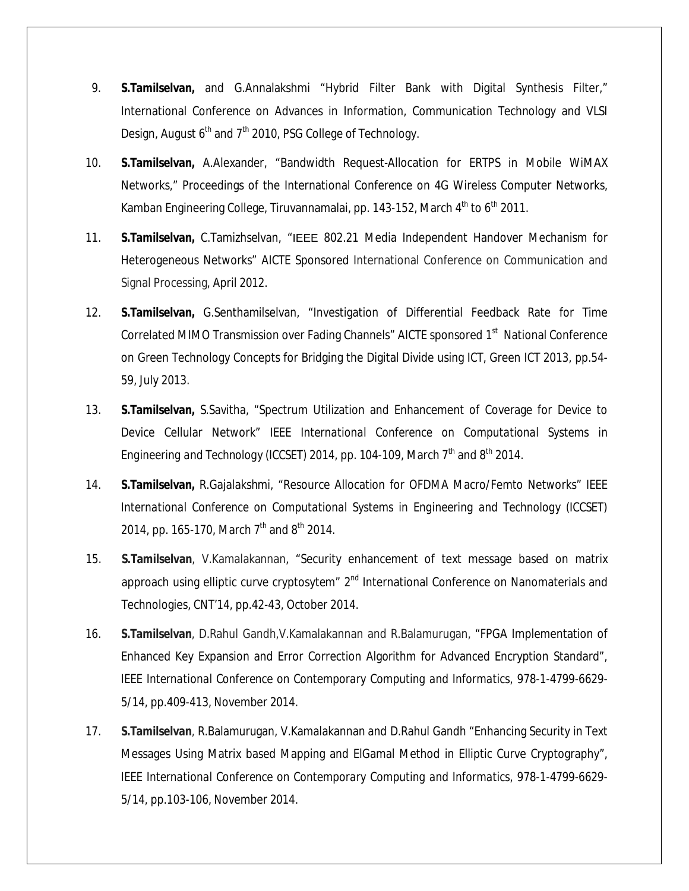- 9. **S.Tamilselvan,** and G.Annalakshmi "Hybrid Filter Bank with Digital Synthesis Filter," International Conference on Advances in Information, Communication Technology and VLSI Design, August  $6<sup>th</sup>$  and  $7<sup>th</sup>$  2010, PSG College of Technology.
- 10. **S.Tamilselvan,** A.Alexander, "Bandwidth Request-Allocation for ERTPS in Mobile WiMAX Networks," Proceedings of the International Conference on 4G Wireless Computer Networks, Kamban Engineering College, Tiruvannamalai, pp. 143-152, March 4<sup>th</sup> to 6<sup>th</sup> 2011.
- 11. **S.Tamilselvan,** C.Tamizhselvan, "IEEE 802.21 Media Independent Handover Mechanism for Heterogeneous Networks" AICTE Sponsored International Conference on Communication and Signal Processing*,* April 2012.
- 12. **S.Tamilselvan,** G.Senthamilselvan, "Investigation of Differential Feedback Rate for Time Correlated MIMO Transmission over Fading Channels" AICTE sponsored 1<sup>st</sup> National Conference on Green Technology Concepts for Bridging the Digital Divide using ICT, Green ICT 2013, pp.54- 59, July 2013.
- 13. **S.Tamilselvan,** S.Savitha, "Spectrum Utilization and Enhancement of Coverage for Device to Device Cellular Network" IEEE *International Conference on Computational Systems in*  Engineering and Technology (ICCSET) 2014, pp. 104-109, March  $7<sup>th</sup>$  and  $8<sup>th</sup>$  2014.
- 14. **S.Tamilselvan,** R.Gajalakshmi, "Resource Allocation for OFDMA Macro/Femto Networks" IEEE *International Conference on Computational Systems in Engineering and Technology (ICCSET)*  2014, pp. 165-170, March 7<sup>th</sup> and 8<sup>th</sup> 2014.
- 15. **S.Tamilselvan**, V.Kamalakannan, "Security enhancement of text message based on matrix approach using elliptic curve cryptosytem"  $2<sup>nd</sup>$  International Conference on Nanomaterials and Technologies, CNT'14, pp.42-43, October 2014.
- 16. **S.Tamilselvan**, D.Rahul Gandh,V.Kamalakannan and R.Balamurugan, "FPGA Implementation of Enhanced Key Expansion and Error Correction Algorithm for Advanced Encryption Standard", *IEEE International Conference on Contemporary Computing and Informatics*, 978-1-4799-6629- 5/14, pp.409-413, November 2014.
- 17. **S.Tamilselvan**, R.Balamurugan, V.Kamalakannan and D.Rahul Gandh "Enhancing Security in Text Messages Using Matrix based Mapping and ElGamal Method in Elliptic Curve Cryptography", *IEEE International Conference on Contemporary Computing and Informatics*, 978-1-4799-6629- 5/14, pp.103-106, November 2014.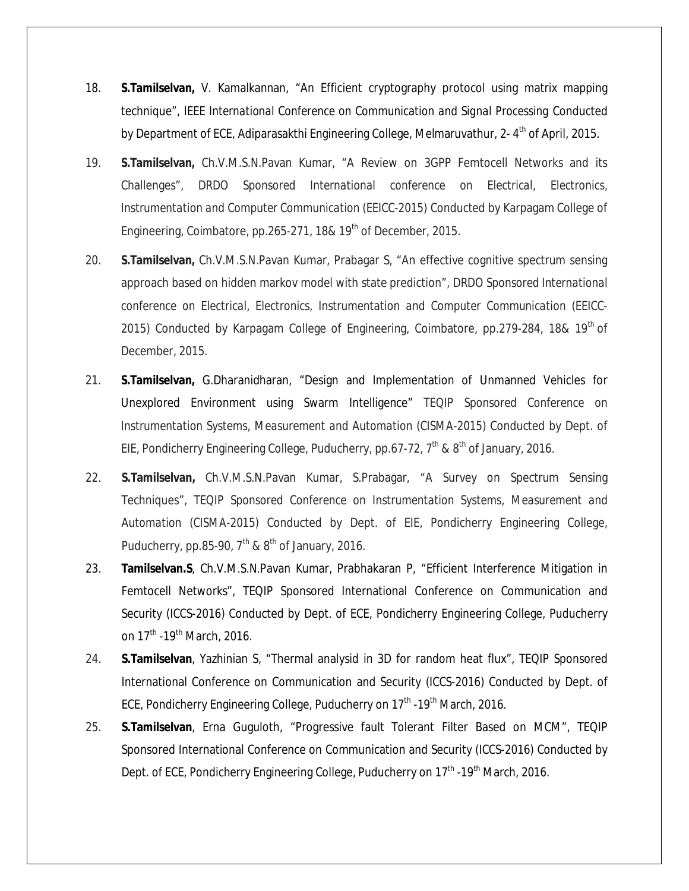- 18. **S.Tamilselvan,** V. Kamalkannan, "An Efficient cryptography protocol using matrix mapping technique", *IEEE International Conference on Communication and Signal Processing* Conducted by Department of ECE, Adiparasakthi Engineering College, Melmaruvathur, 2-4<sup>th</sup> of April, 2015.
- 19. **S.Tamilselvan,** Ch.V.M.S.N.Pavan Kumar, "A Review on 3GPP Femtocell Networks and its Challenges", *DRDO Sponsored International conference on Electrical, Electronics, Instrumentation and Computer Communication (EEICC-2015)* Conducted by Karpagam College of Engineering, Coimbatore, pp.265-271, 18& 19<sup>th</sup> of December, 2015.
- 20. **S.Tamilselvan,** Ch.V.M.S.N.Pavan Kumar, Prabagar S, "An effective cognitive spectrum sensing approach based on hidden markov model with state prediction", *DRDO Sponsored International conference on Electrical, Electronics, Instrumentation and Computer Communication (EEICC-2015)* Conducted by Karpagam College of Engineering, Coimbatore, pp.279-284, 18& 19th of December, 2015.
- 21. **S.Tamilselvan,** G.Dharanidharan, "Design and Implementation of Unmanned Vehicles for Unexplored Environment using Swarm Intelligence" *TEQIP Sponsored Conference on Instrumentation Systems, Measurement and Automation (CISMA-2015)* Conducted by Dept. of EIE, Pondicherry Engineering College, Puducherry, pp.67-72,  $7<sup>th</sup>$  &  $8<sup>th</sup>$  of January, 2016.
- 22. **S.Tamilselvan,** Ch.V.M.S.N.Pavan Kumar, S.Prabagar, "A Survey on Spectrum Sensing Techniques", *TEQIP Sponsored Conference on Instrumentation Systems, Measurement and Automation (CISMA-2015)* Conducted by Dept. of EIE, Pondicherry Engineering College, Puducherry, pp.85-90,  $7<sup>th</sup>$  &  $8<sup>th</sup>$  of January, 2016.
- 23. **Tamilselvan.S**, Ch.V.M.S.N.Pavan Kumar, Prabhakaran P, "Efficient Interference Mitigation in Femtocell Networks", TEQIP Sponsored International Conference on Communication and Security (ICCS-2016) Conducted by Dept. of ECE, Pondicherry Engineering College, Puducherry on  $17^{\text{th}}$  -19<sup>th</sup> March, 2016.
- 24. **S.Tamilselvan**, Yazhinian S, "Thermal analysid in 3D for random heat flux", TEQIP Sponsored International Conference on Communication and Security (ICCS-2016) Conducted by Dept. of ECE, Pondicherry Engineering College, Puducherry on  $17<sup>th</sup>$ -19<sup>th</sup> March, 2016.
- 25. **S.Tamilselvan**, Erna Guguloth, "Progressive fault Tolerant Filter Based on MCM", TEQIP Sponsored International Conference on Communication and Security (ICCS-2016) Conducted by Dept. of ECE, Pondicherry Engineering College, Puducherry on 17<sup>th</sup> -19<sup>th</sup> March, 2016.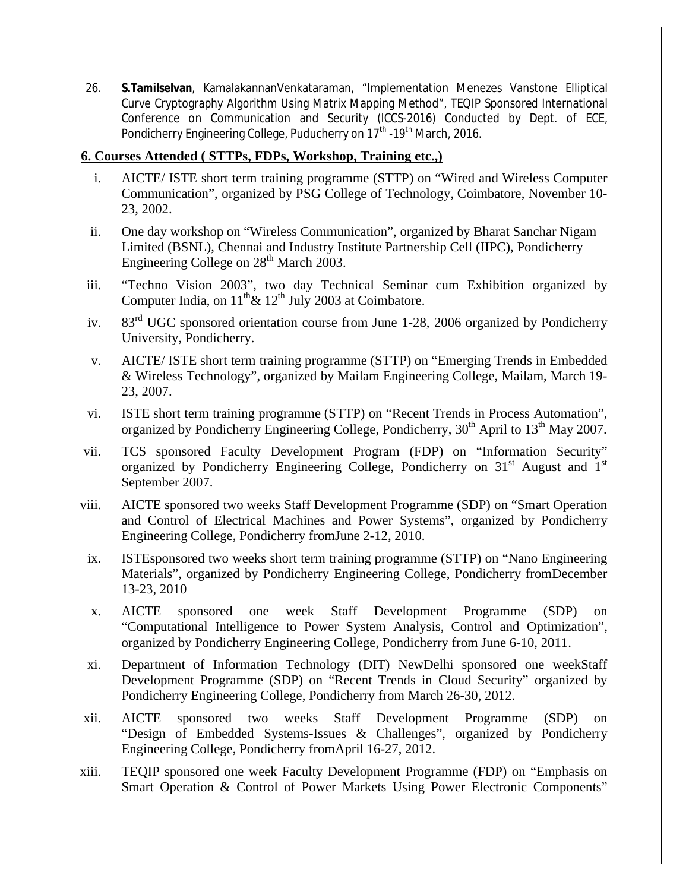26. **S.Tamilselvan**, KamalakannanVenkataraman, "Implementation Menezes Vanstone Elliptical Curve Cryptography Algorithm Using Matrix Mapping Method", TEQIP Sponsored International Conference on Communication and Security (ICCS-2016) Conducted by Dept. of ECE, Pondicherry Engineering College, Puducherry on 17<sup>th</sup> -19<sup>th</sup> March, 2016.

## **6. Courses Attended ( STTPs, FDPs, Workshop, Training etc.,)**

- i. AICTE/ ISTE short term training programme (STTP) on "Wired and Wireless Computer Communication", organized by PSG College of Technology, Coimbatore, November 10- 23, 2002.
- ii. One day workshop on "Wireless Communication", organized by Bharat Sanchar Nigam Limited (BSNL), Chennai and Industry Institute Partnership Cell (IIPC), Pondicherry Engineering College on  $28<sup>th</sup>$  March 2003.
- iii. "Techno Vision 2003", two day Technical Seminar cum Exhibition organized by Computer India, on  $11^{th}$  &  $12^{th}$  July 2003 at Coimbatore.
- iv. 83<sup>rd</sup> UGC sponsored orientation course from June 1-28, 2006 organized by Pondicherry University, Pondicherry.
- v. AICTE/ ISTE short term training programme (STTP) on "Emerging Trends in Embedded & Wireless Technology", organized by Mailam Engineering College, Mailam, March 19- 23, 2007.
- vi. ISTE short term training programme (STTP) on "Recent Trends in Process Automation", organized by Pondicherry Engineering College, Pondicherry,  $30<sup>th</sup>$  April to  $13<sup>th</sup>$  May 2007.
- vii. TCS sponsored Faculty Development Program (FDP) on "Information Security" organized by Pondicherry Engineering College, Pondicherry on 31<sup>st</sup> August and 1<sup>st</sup> September 2007.
- viii. AICTE sponsored two weeks Staff Development Programme (SDP) on "Smart Operation and Control of Electrical Machines and Power Systems", organized by Pondicherry Engineering College, Pondicherry fromJune 2-12, 2010.
- ix. ISTEsponsored two weeks short term training programme (STTP) on "Nano Engineering Materials", organized by Pondicherry Engineering College, Pondicherry fromDecember 13-23, 2010
- x. AICTE sponsored one week Staff Development Programme (SDP) on "Computational Intelligence to Power System Analysis, Control and Optimization", organized by Pondicherry Engineering College, Pondicherry from June 6-10, 2011.
- xi. Department of Information Technology (DIT) NewDelhi sponsored one weekStaff Development Programme (SDP) on "Recent Trends in Cloud Security" organized by Pondicherry Engineering College, Pondicherry from March 26-30, 2012.
- xii. AICTE sponsored two weeks Staff Development Programme (SDP) on "Design of Embedded Systems-Issues & Challenges", organized by Pondicherry Engineering College, Pondicherry fromApril 16-27, 2012.
- xiii. TEQIP sponsored one week Faculty Development Programme (FDP) on "Emphasis on Smart Operation & Control of Power Markets Using Power Electronic Components"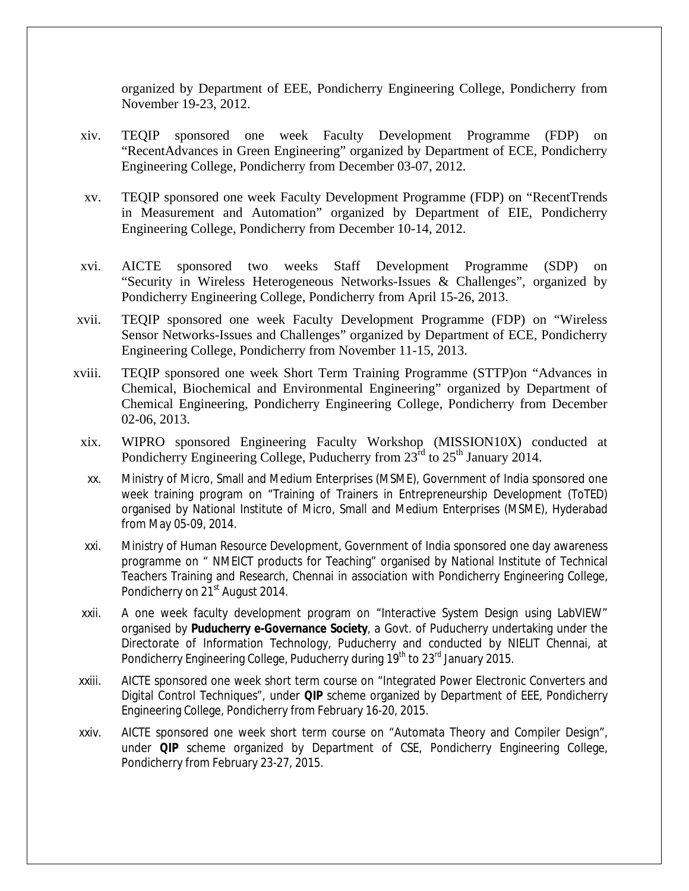organized by Department of EEE, Pondicherry Engineering College, Pondicherry from November 19-23, 2012.

- xiv. TEQIP sponsored one week Faculty Development Programme (FDP) on "RecentAdvances in Green Engineering" organized by Department of ECE, Pondicherry Engineering College, Pondicherry from December 03-07, 2012.
- xv. TEQIP sponsored one week Faculty Development Programme (FDP) on "RecentTrends in Measurement and Automation" organized by Department of EIE, Pondicherry Engineering College, Pondicherry from December 10-14, 2012.
- xvi. AICTE sponsored two weeks Staff Development Programme (SDP) on "Security in Wireless Heterogeneous Networks-Issues & Challenges", organized by Pondicherry Engineering College, Pondicherry from April 15-26, 2013.
- xvii. TEQIP sponsored one week Faculty Development Programme (FDP) on "Wireless Sensor Networks-Issues and Challenges" organized by Department of ECE, Pondicherry Engineering College, Pondicherry from November 11-15, 2013.
- xviii. TEQIP sponsored one week Short Term Training Programme (STTP)on "Advances in Chemical, Biochemical and Environmental Engineering" organized by Department of Chemical Engineering, Pondicherry Engineering College, Pondicherry from December 02-06, 2013.
- xix. WIPRO sponsored Engineering Faculty Workshop (MISSION10X) conducted at Pondicherry Engineering College, Puducherry from  $23<sup>rd</sup>$  to  $25<sup>th</sup>$  January 2014.
- xx. Ministry of Micro, Small and Medium Enterprises (MSME), Government of India sponsored one week training program on "Training of Trainers in Entrepreneurship Development (ToTED) organised by National Institute of Micro, Small and Medium Enterprises (MSME), Hyderabad from May 05-09, 2014.
- xxi. Ministry of Human Resource Development, Government of India sponsored one day awareness programme on " NMEICT products for Teaching" organised by National Institute of Technical Teachers Training and Research, Chennai in association with Pondicherry Engineering College, Pondicherry on 21<sup>st</sup> August 2014.
- xxii. A one week faculty development program on "Interactive System Design using LabVIEW" organised by **Puducherry e-Governance Society**, a Govt. of Puducherry undertaking under the Directorate of Information Technology, Puducherry and conducted by NIELIT Chennai, at Pondicherry Engineering College, Puducherry during 19<sup>th</sup> to 23<sup>rd</sup> January 2015.
- xxiii. AICTE sponsored one week short term course on "Integrated Power Electronic Converters and Digital Control Techniques", under **QIP** scheme organized by Department of EEE, Pondicherry Engineering College, Pondicherry from February 16-20, 2015.
- xxiv. AICTE sponsored one week short term course on "Automata Theory and Compiler Design", under **QIP** scheme organized by Department of CSE, Pondicherry Engineering College, Pondicherry from February 23-27, 2015.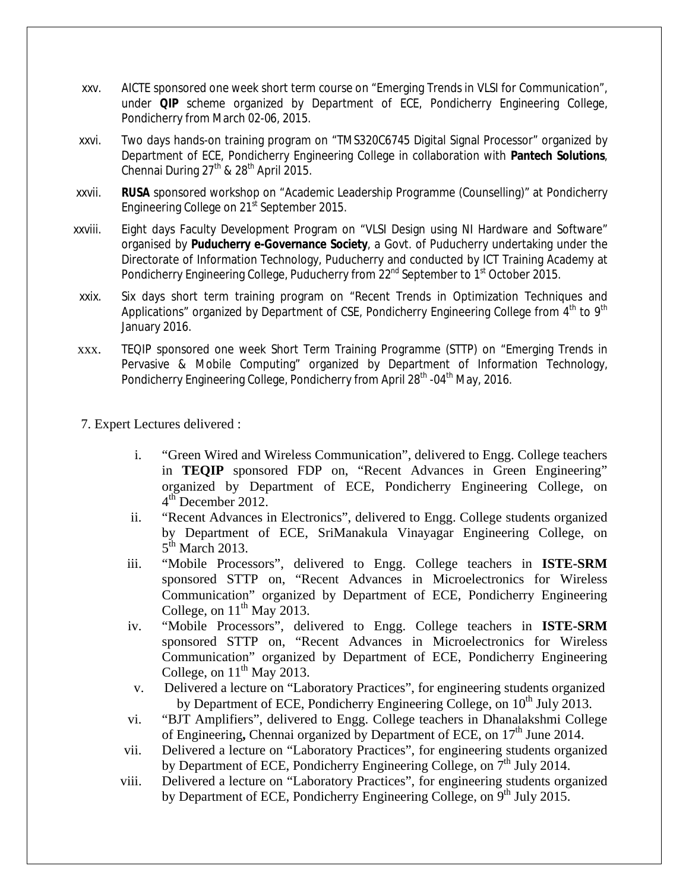- xxv. AICTE sponsored one week short term course on "Emerging Trends in VLSI for Communication", under **QIP** scheme organized by Department of ECE, Pondicherry Engineering College, Pondicherry from March 02-06, 2015.
- xxvi. Two days hands-on training program on "TMS320C6745 Digital Signal Processor" organized by Department of ECE, Pondicherry Engineering College in collaboration with **Pantech Solutions**, Chennai During  $27<sup>th</sup>$  &  $28<sup>th</sup>$  April 2015.
- xxvii. **RUSA** sponsored workshop on "Academic Leadership Programme (Counselling)" at Pondicherry Engineering College on 21<sup>st</sup> September 2015.
- xxviii. Eight days Faculty Development Program on "VLSI Design using NI Hardware and Software" organised by **Puducherry e-Governance Society**, a Govt. of Puducherry undertaking under the Directorate of Information Technology, Puducherry and conducted by ICT Training Academy at Pondicherry Engineering College, Puducherry from 22<sup>nd</sup> September to 1<sup>st</sup> October 2015.
- xxix. Six days short term training program on "Recent Trends in Optimization Techniques and Applications" organized by Department of CSE, Pondicherry Engineering College from  $4<sup>th</sup>$  to  $9<sup>th</sup>$ January 2016.
- xxx. TEQIP sponsored one week Short Term Training Programme (STTP) on "Emerging Trends in Pervasive & Mobile Computing" organized by Department of Information Technology, Pondicherry Engineering College, Pondicherry from April 28<sup>th</sup> -04<sup>th</sup> May, 2016.
- 7. Expert Lectures delivered :
	- i. "Green Wired and Wireless Communication", delivered to Engg. College teachers in **TEQIP** sponsored FDP on, "Recent Advances in Green Engineering" organized by Department of ECE, Pondicherry Engineering College, on  $4<sup>th</sup>$  December 2012.
	- ii. "Recent Advances in Electronics", delivered to Engg. College students organized by Department of ECE, SriManakula Vinayagar Engineering College, on  $5<sup>th</sup>$  March 2013.
	- iii. "Mobile Processors", delivered to Engg. College teachers in **ISTE-SRM**  sponsored STTP on, "Recent Advances in Microelectronics for Wireless Communication" organized by Department of ECE, Pondicherry Engineering College, on  $11<sup>th</sup>$  May 2013.
	- iv. "Mobile Processors", delivered to Engg. College teachers in **ISTE-SRM**  sponsored STTP on, "Recent Advances in Microelectronics for Wireless Communication" organized by Department of ECE, Pondicherry Engineering College, on  $11<sup>th</sup>$  May 2013.
	- v. Delivered a lecture on "Laboratory Practices", for engineering students organized by Department of ECE, Pondicherry Engineering College, on 10<sup>th</sup> July 2013.
	- vi. "BJT Amplifiers", delivered to Engg. College teachers in Dhanalakshmi College of Engineering, Chennai organized by Department of ECE, on 17<sup>th</sup> June 2014.
	- vii. Delivered a lecture on "Laboratory Practices", for engineering students organized by Department of ECE, Pondicherry Engineering College, on  $7<sup>th</sup>$  July 2014.
	- viii. Delivered a lecture on "Laboratory Practices", for engineering students organized by Department of ECE, Pondicherry Engineering College, on  $9<sup>th</sup>$  July 2015.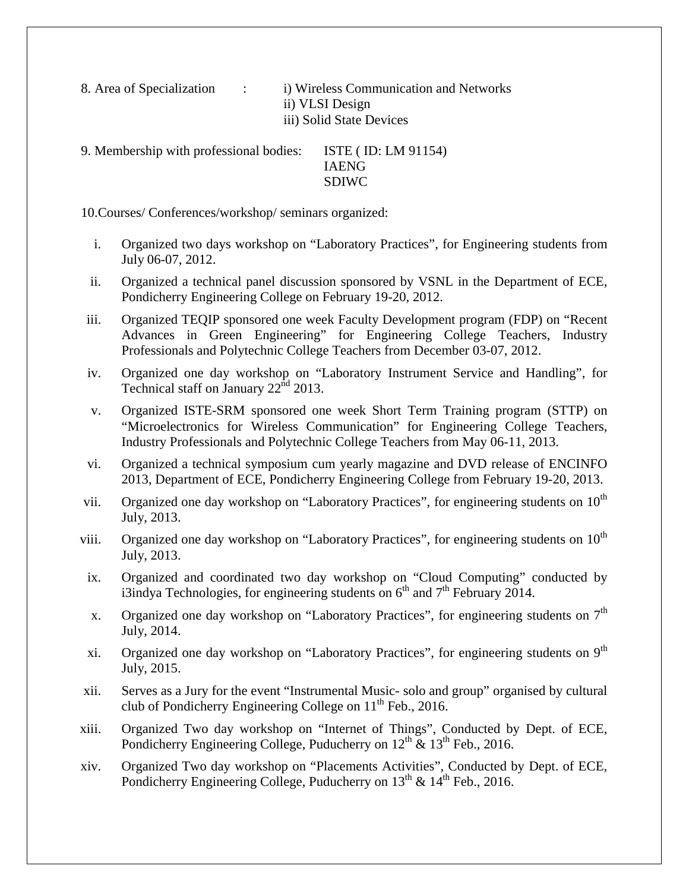8. Area of Specialization : i) Wireless Communication and Networks ii) VLSI Design iii) Solid State Devices

9. Membership with professional bodies: ISTE ( ID: LM 91154) IAENG SDIWC

10.Courses/ Conferences/workshop/ seminars organized:

- i. Organized two days workshop on "Laboratory Practices", for Engineering students from July 06-07, 2012.
- ii. Organized a technical panel discussion sponsored by VSNL in the Department of ECE, Pondicherry Engineering College on February 19-20, 2012.
- iii. Organized TEQIP sponsored one week Faculty Development program (FDP) on "Recent Advances in Green Engineering" for Engineering College Teachers, Industry Professionals and Polytechnic College Teachers from December 03-07, 2012.
- iv. Organized one day workshop on "Laboratory Instrument Service and Handling", for Technical staff on January  $22^{\text{nd}}$  2013.
- v. Organized ISTE-SRM sponsored one week Short Term Training program (STTP) on "Microelectronics for Wireless Communication" for Engineering College Teachers, Industry Professionals and Polytechnic College Teachers from May 06-11, 2013.
- vi. Organized a technical symposium cum yearly magazine and DVD release of ENCINFO 2013, Department of ECE, Pondicherry Engineering College from February 19-20, 2013.
- vii. Organized one day workshop on "Laboratory Practices", for engineering students on  $10<sup>th</sup>$ July, 2013.
- viii. Organized one day workshop on "Laboratory Practices", for engineering students on  $10^{th}$ July, 2013.
- ix. Organized and coordinated two day workshop on "Cloud Computing" conducted by i3indya Technologies, for engineering students on  $6<sup>th</sup>$  and  $7<sup>th</sup>$  February 2014.
- x. Organized one day workshop on "Laboratory Practices", for engineering students on  $7<sup>th</sup>$ July, 2014.
- xi. Organized one day workshop on "Laboratory Practices", for engineering students on 9<sup>th</sup> July, 2015.
- xii. Serves as a Jury for the event "Instrumental Music- solo and group" organised by cultural club of Pondicherry Engineering College on  $11<sup>th</sup>$  Feb., 2016.
- xiii. Organized Two day workshop on "Internet of Things", Conducted by Dept. of ECE, Pondicherry Engineering College, Puducherry on  $12^{th}$  &  $13^{th}$  Feb., 2016.
- xiv. Organized Two day workshop on "Placements Activities", Conducted by Dept. of ECE, Pondicherry Engineering College, Puducherry on  $13^{th}$  &  $14^{th}$  Feb., 2016.